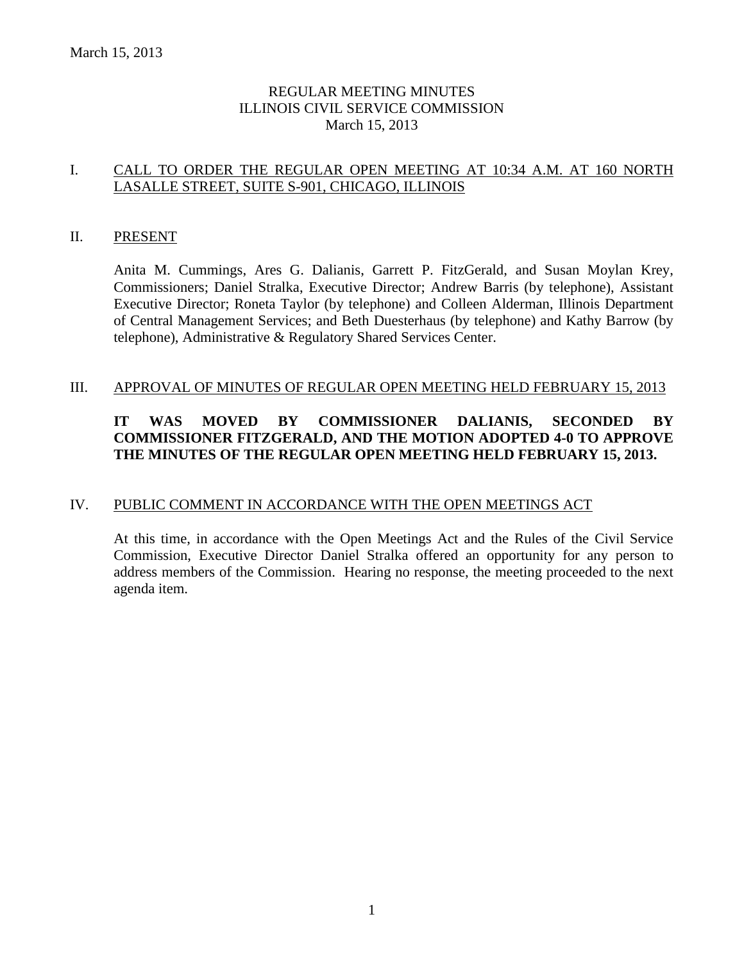# REGULAR MEETING MINUTES ILLINOIS CIVIL SERVICE COMMISSION March 15, 2013

# I. CALL TO ORDER THE REGULAR OPEN MEETING AT 10:34 A.M. AT 160 NORTH LASALLE STREET, SUITE S-901, CHICAGO, ILLINOIS

#### II. PRESENT

Anita M. Cummings, Ares G. Dalianis, Garrett P. FitzGerald, and Susan Moylan Krey, Commissioners; Daniel Stralka, Executive Director; Andrew Barris (by telephone), Assistant Executive Director; Roneta Taylor (by telephone) and Colleen Alderman, Illinois Department of Central Management Services; and Beth Duesterhaus (by telephone) and Kathy Barrow (by telephone), Administrative & Regulatory Shared Services Center.

#### III. APPROVAL OF MINUTES OF REGULAR OPEN MEETING HELD FEBRUARY 15, 2013

# **IT WAS MOVED BY COMMISSIONER DALIANIS, SECONDED BY COMMISSIONER FITZGERALD, AND THE MOTION ADOPTED 4-0 TO APPROVE THE MINUTES OF THE REGULAR OPEN MEETING HELD FEBRUARY 15, 2013.**

#### IV. PUBLIC COMMENT IN ACCORDANCE WITH THE OPEN MEETINGS ACT

At this time, in accordance with the Open Meetings Act and the Rules of the Civil Service Commission, Executive Director Daniel Stralka offered an opportunity for any person to address members of the Commission. Hearing no response, the meeting proceeded to the next agenda item.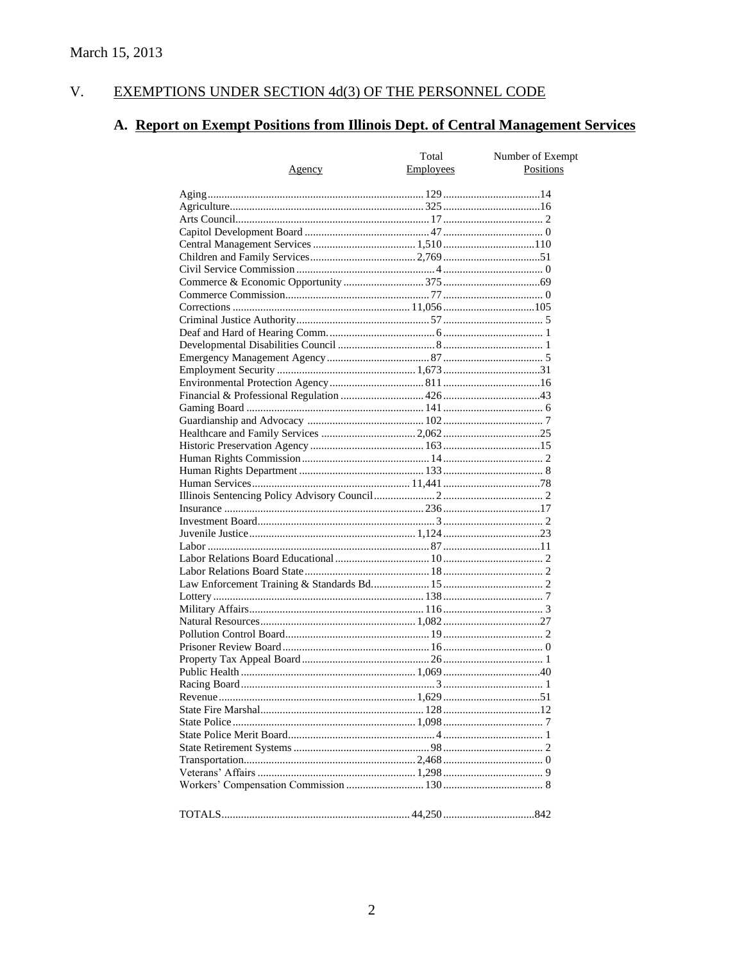#### $V<sub>r</sub>$ EXEMPTIONS UNDER SECTION 4d(3) OF THE PERSONNEL CODE

# A. Report on Exempt Positions from Illinois Dept. of Central Management Services

|        | Total            | Number of Exempt |
|--------|------------------|------------------|
| Agency | <b>Employees</b> | Positions        |
|        |                  |                  |
|        |                  |                  |
|        |                  |                  |
|        |                  |                  |
|        |                  |                  |
|        |                  |                  |
|        |                  |                  |
|        |                  |                  |
|        |                  |                  |
|        |                  |                  |
|        |                  |                  |
|        |                  |                  |
|        |                  |                  |
|        |                  |                  |
|        |                  |                  |
|        |                  |                  |
|        |                  |                  |
|        |                  |                  |
|        |                  |                  |
|        |                  |                  |
|        |                  |                  |
|        |                  |                  |
|        |                  |                  |
|        |                  |                  |
|        |                  |                  |
|        |                  |                  |
|        |                  |                  |
|        |                  |                  |
|        |                  |                  |
|        |                  |                  |
|        |                  |                  |
|        |                  |                  |
|        |                  |                  |
|        |                  |                  |
|        |                  |                  |
|        |                  |                  |
|        |                  |                  |
|        |                  |                  |
|        |                  |                  |
|        |                  |                  |
|        |                  |                  |
|        |                  |                  |
|        |                  |                  |
|        |                  |                  |
|        |                  |                  |
|        |                  |                  |
|        |                  |                  |
|        |                  |                  |
|        |                  |                  |
|        |                  |                  |
|        |                  |                  |
|        |                  |                  |
|        |                  |                  |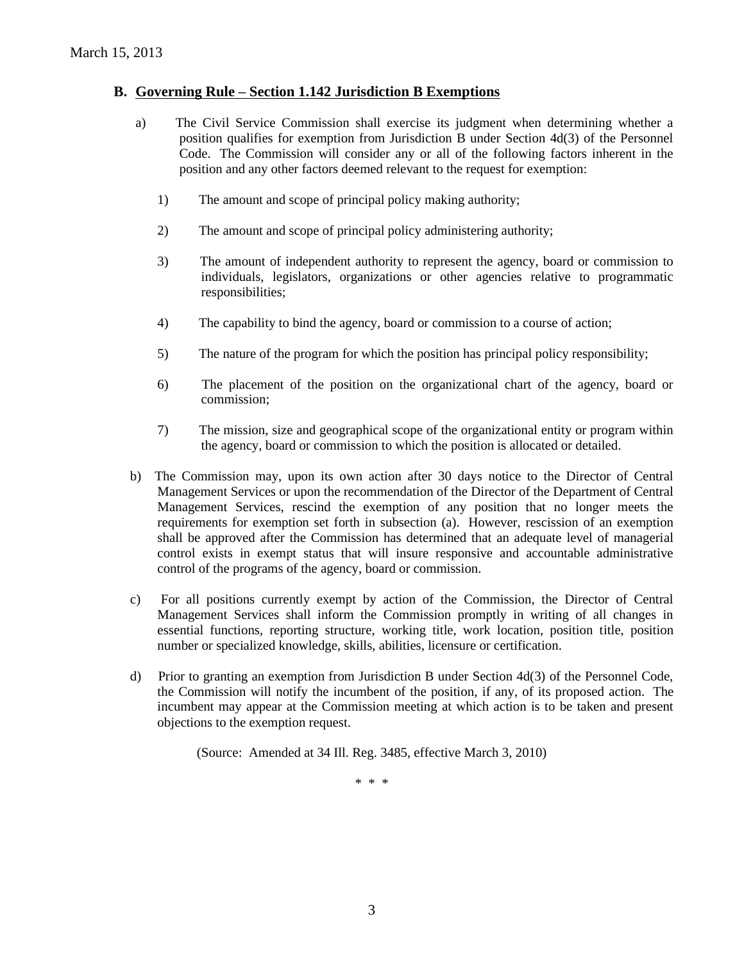### **B. Governing Rule – Section 1.142 Jurisdiction B Exemptions**

- a) The Civil Service Commission shall exercise its judgment when determining whether a position qualifies for exemption from Jurisdiction B under Section 4d(3) of the Personnel Code. The Commission will consider any or all of the following factors inherent in the position and any other factors deemed relevant to the request for exemption:
	- 1) The amount and scope of principal policy making authority;
	- 2) The amount and scope of principal policy administering authority;
	- 3) The amount of independent authority to represent the agency, board or commission to individuals, legislators, organizations or other agencies relative to programmatic responsibilities;
	- 4) The capability to bind the agency, board or commission to a course of action;
	- 5) The nature of the program for which the position has principal policy responsibility;
	- 6) The placement of the position on the organizational chart of the agency, board or commission;
	- 7) The mission, size and geographical scope of the organizational entity or program within the agency, board or commission to which the position is allocated or detailed.
- b) The Commission may, upon its own action after 30 days notice to the Director of Central Management Services or upon the recommendation of the Director of the Department of Central Management Services, rescind the exemption of any position that no longer meets the requirements for exemption set forth in subsection (a). However, rescission of an exemption shall be approved after the Commission has determined that an adequate level of managerial control exists in exempt status that will insure responsive and accountable administrative control of the programs of the agency, board or commission.
- c) For all positions currently exempt by action of the Commission, the Director of Central Management Services shall inform the Commission promptly in writing of all changes in essential functions, reporting structure, working title, work location, position title, position number or specialized knowledge, skills, abilities, licensure or certification.
- d) Prior to granting an exemption from Jurisdiction B under Section 4d(3) of the Personnel Code, the Commission will notify the incumbent of the position, if any, of its proposed action. The incumbent may appear at the Commission meeting at which action is to be taken and present objections to the exemption request.

(Source: Amended at 34 Ill. Reg. 3485, effective March 3, 2010)

\* \* \*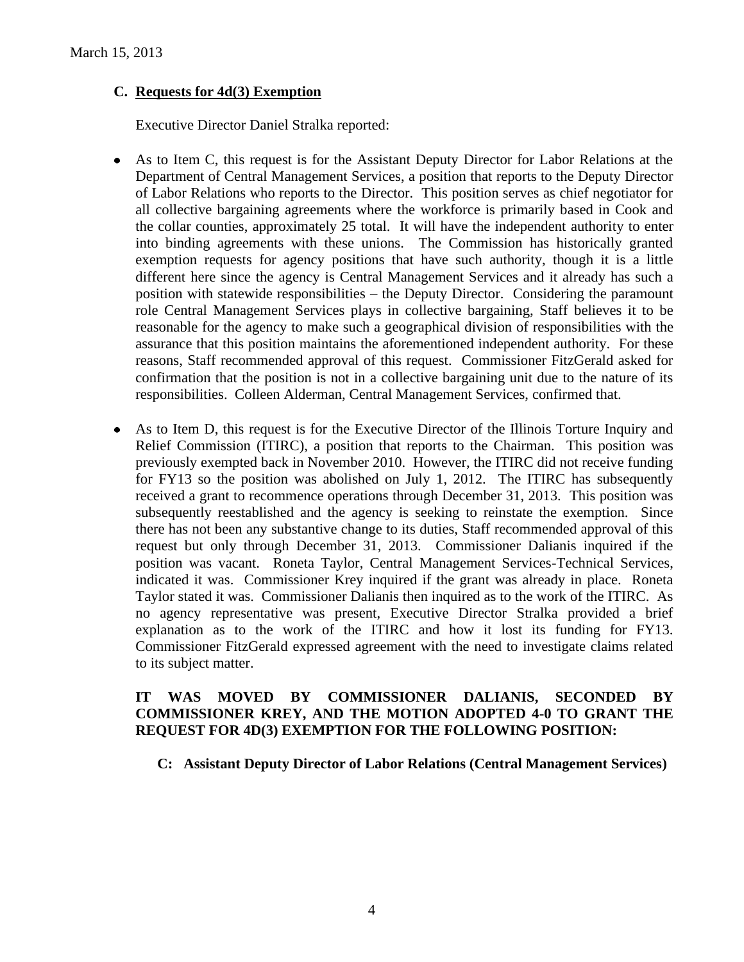# **C. Requests for 4d(3) Exemption**

Executive Director Daniel Stralka reported:

- As to Item C, this request is for the Assistant Deputy Director for Labor Relations at the  $\bullet$ Department of Central Management Services, a position that reports to the Deputy Director of Labor Relations who reports to the Director. This position serves as chief negotiator for all collective bargaining agreements where the workforce is primarily based in Cook and the collar counties, approximately 25 total. It will have the independent authority to enter into binding agreements with these unions. The Commission has historically granted exemption requests for agency positions that have such authority, though it is a little different here since the agency is Central Management Services and it already has such a position with statewide responsibilities – the Deputy Director. Considering the paramount role Central Management Services plays in collective bargaining, Staff believes it to be reasonable for the agency to make such a geographical division of responsibilities with the assurance that this position maintains the aforementioned independent authority. For these reasons, Staff recommended approval of this request. Commissioner FitzGerald asked for confirmation that the position is not in a collective bargaining unit due to the nature of its responsibilities. Colleen Alderman, Central Management Services, confirmed that.
- As to Item D, this request is for the Executive Director of the Illinois Torture Inquiry and  $\bullet$ Relief Commission (ITIRC), a position that reports to the Chairman. This position was previously exempted back in November 2010. However, the ITIRC did not receive funding for FY13 so the position was abolished on July 1, 2012. The ITIRC has subsequently received a grant to recommence operations through December 31, 2013. This position was subsequently reestablished and the agency is seeking to reinstate the exemption. Since there has not been any substantive change to its duties, Staff recommended approval of this request but only through December 31, 2013. Commissioner Dalianis inquired if the position was vacant. Roneta Taylor, Central Management Services-Technical Services, indicated it was. Commissioner Krey inquired if the grant was already in place. Roneta Taylor stated it was. Commissioner Dalianis then inquired as to the work of the ITIRC. As no agency representative was present, Executive Director Stralka provided a brief explanation as to the work of the ITIRC and how it lost its funding for FY13. Commissioner FitzGerald expressed agreement with the need to investigate claims related to its subject matter.

# **IT WAS MOVED BY COMMISSIONER DALIANIS, SECONDED BY COMMISSIONER KREY, AND THE MOTION ADOPTED 4-0 TO GRANT THE REQUEST FOR 4D(3) EXEMPTION FOR THE FOLLOWING POSITION:**

**C: Assistant Deputy Director of Labor Relations (Central Management Services)**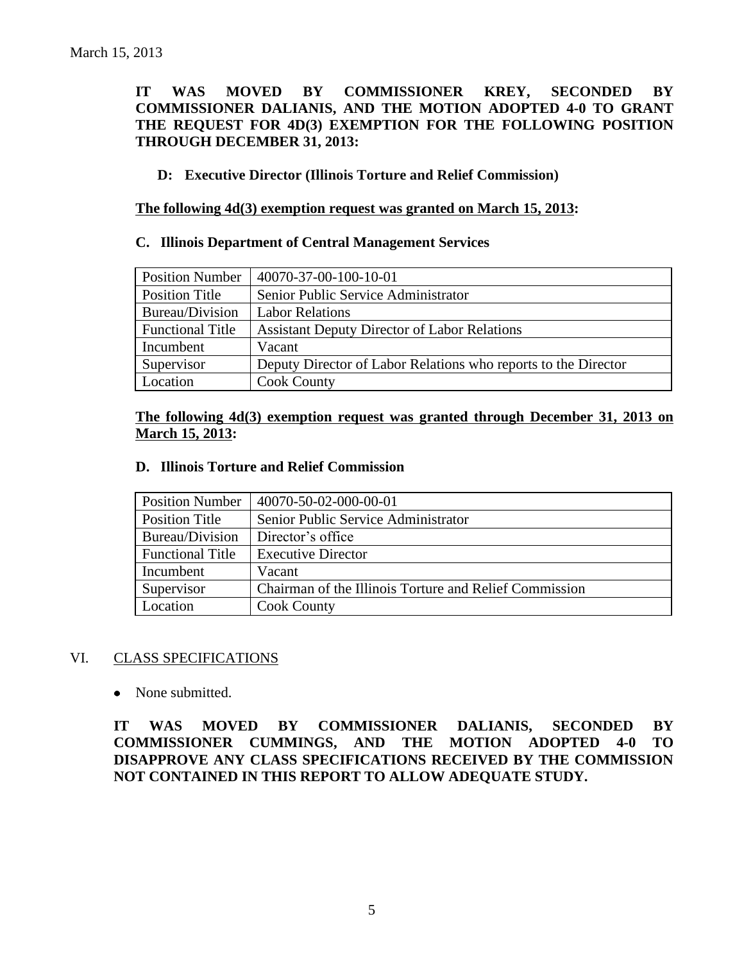# **IT WAS MOVED BY COMMISSIONER KREY, SECONDED BY COMMISSIONER DALIANIS, AND THE MOTION ADOPTED 4-0 TO GRANT THE REQUEST FOR 4D(3) EXEMPTION FOR THE FOLLOWING POSITION THROUGH DECEMBER 31, 2013:**

## **D: Executive Director (Illinois Torture and Relief Commission)**

**The following 4d(3) exemption request was granted on March 15, 2013:**

#### **C. Illinois Department of Central Management Services**

| <b>Position Number</b>  | 40070-37-00-100-10-01                                          |
|-------------------------|----------------------------------------------------------------|
| <b>Position Title</b>   | Senior Public Service Administrator                            |
| Bureau/Division         | <b>Labor Relations</b>                                         |
| <b>Functional Title</b> | <b>Assistant Deputy Director of Labor Relations</b>            |
| Incumbent               | Vacant                                                         |
| Supervisor              | Deputy Director of Labor Relations who reports to the Director |
| Location                | <b>Cook County</b>                                             |

# **The following 4d(3) exemption request was granted through December 31, 2013 on March 15, 2013:**

#### **D. Illinois Torture and Relief Commission**

| <b>Position Number</b>  | 40070-50-02-000-00-01                                  |
|-------------------------|--------------------------------------------------------|
| <b>Position Title</b>   | Senior Public Service Administrator                    |
| Bureau/Division         | Director's office                                      |
| <b>Functional Title</b> | <b>Executive Director</b>                              |
| Incumbent               | Vacant                                                 |
| Supervisor              | Chairman of the Illinois Torture and Relief Commission |
| Location                | <b>Cook County</b>                                     |

# VI. CLASS SPECIFICATIONS

 $\bullet$ None submitted.

**IT WAS MOVED BY COMMISSIONER DALIANIS, SECONDED BY COMMISSIONER CUMMINGS, AND THE MOTION ADOPTED 4-0 TO DISAPPROVE ANY CLASS SPECIFICATIONS RECEIVED BY THE COMMISSION NOT CONTAINED IN THIS REPORT TO ALLOW ADEQUATE STUDY.**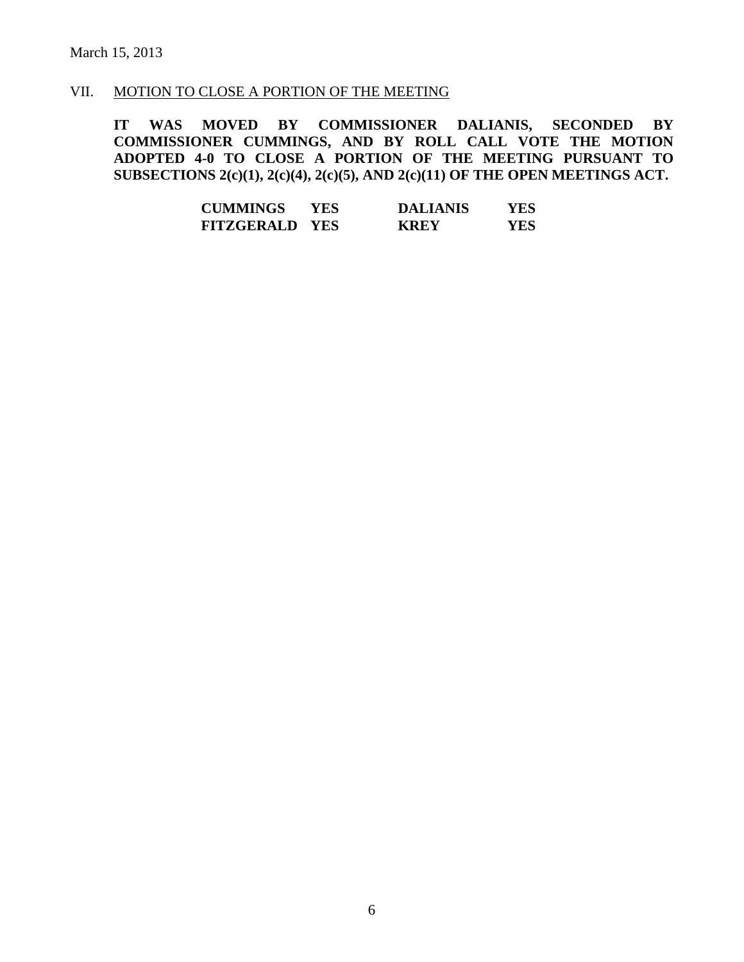# VII. MOTION TO CLOSE A PORTION OF THE MEETING

**IT WAS MOVED BY COMMISSIONER DALIANIS, SECONDED BY COMMISSIONER CUMMINGS, AND BY ROLL CALL VOTE THE MOTION ADOPTED 4-0 TO CLOSE A PORTION OF THE MEETING PURSUANT TO SUBSECTIONS 2(c)(1), 2(c)(4), 2(c)(5), AND 2(c)(11) OF THE OPEN MEETINGS ACT.**

| <b>CUMMINGS</b>       | YES | <b>DALIANIS</b> | YES |
|-----------------------|-----|-----------------|-----|
| <b>FITZGERALD YES</b> |     | <b>KREY</b>     | YES |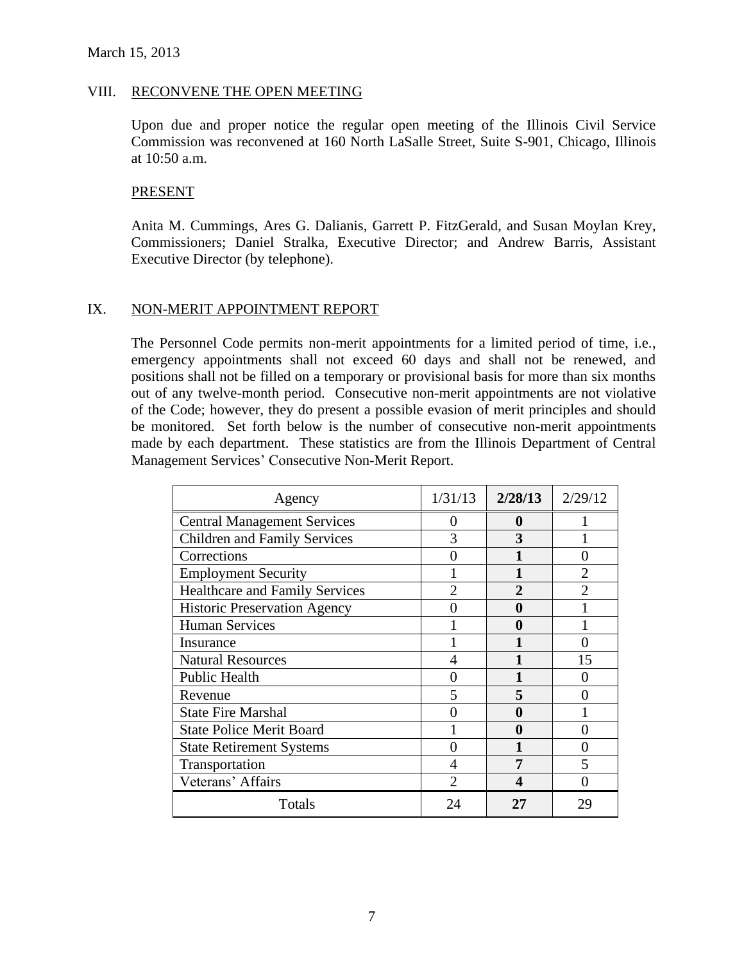#### VIII. RECONVENE THE OPEN MEETING

Upon due and proper notice the regular open meeting of the Illinois Civil Service Commission was reconvened at 160 North LaSalle Street, Suite S-901, Chicago, Illinois at 10:50 a.m.

#### **PRESENT**

Anita M. Cummings, Ares G. Dalianis, Garrett P. FitzGerald, and Susan Moylan Krey, Commissioners; Daniel Stralka, Executive Director; and Andrew Barris, Assistant Executive Director (by telephone).

#### IX. NON-MERIT APPOINTMENT REPORT

The Personnel Code permits non-merit appointments for a limited period of time, i.e., emergency appointments shall not exceed 60 days and shall not be renewed, and positions shall not be filled on a temporary or provisional basis for more than six months out of any twelve-month period. Consecutive non-merit appointments are not violative of the Code; however, they do present a possible evasion of merit principles and should be monitored. Set forth below is the number of consecutive non-merit appointments made by each department. These statistics are from the Illinois Department of Central Management Services' Consecutive Non-Merit Report.

| Agency                                | 1/31/13 | 2/28/13      | 2/29/12 |
|---------------------------------------|---------|--------------|---------|
| <b>Central Management Services</b>    | 0       | $\bf{0}$     |         |
| <b>Children and Family Services</b>   | 3       | 3            |         |
| Corrections                           |         |              |         |
| <b>Employment Security</b>            |         |              |         |
| <b>Healthcare and Family Services</b> |         | $\mathbf{2}$ |         |
| <b>Historic Preservation Agency</b>   |         | 0            |         |
| <b>Human Services</b>                 |         | 0            |         |
| Insurance                             |         |              |         |
| <b>Natural Resources</b>              |         |              | 15      |
| <b>Public Health</b>                  |         |              |         |
| Revenue                               | 5       |              |         |
| <b>State Fire Marshal</b>             |         | 0            |         |
| <b>State Police Merit Board</b>       |         | 0            |         |
| <b>State Retirement Systems</b>       |         |              |         |
| Transportation                        |         |              |         |
| Veterans' Affairs                     |         |              |         |
| Totals                                | 24      | 27           | 29      |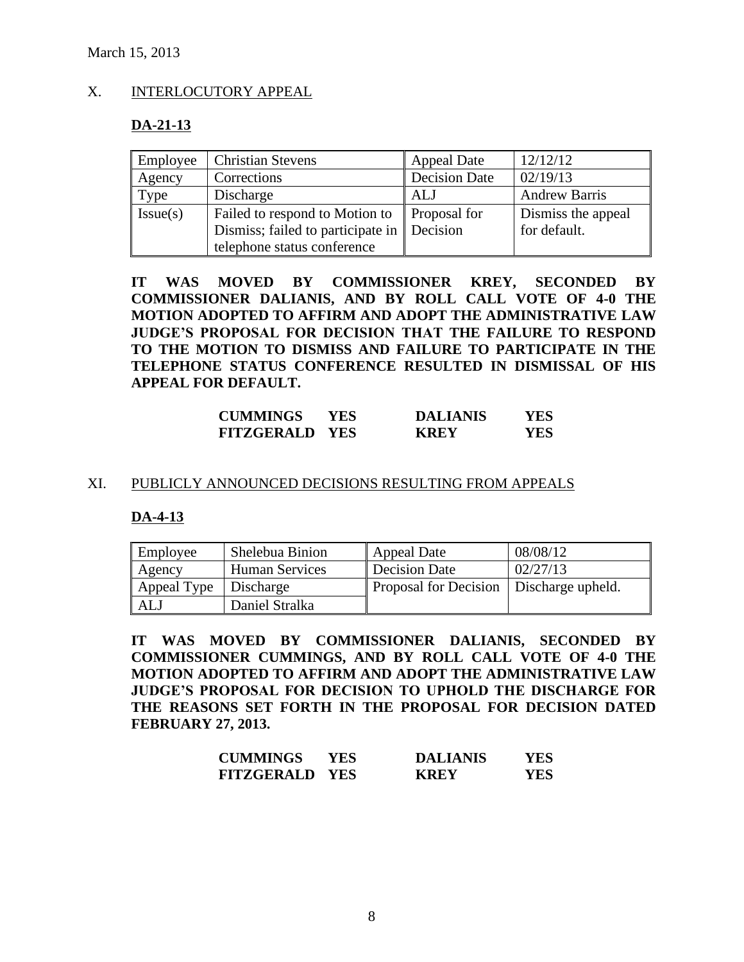# X. INTERLOCUTORY APPEAL

#### **DA-21-13**

| Employee | <b>Christian Stevens</b>                   | <b>Appeal Date</b>   | 12/12/12             |
|----------|--------------------------------------------|----------------------|----------------------|
| Agency   | Corrections                                | <b>Decision Date</b> | 02/19/13             |
| Type     | Discharge                                  | ALJ                  | <b>Andrew Barris</b> |
| Issue(s) | Failed to respond to Motion to             | Proposal for         | Dismiss the appeal   |
|          | Dismiss; failed to participate in Decision |                      | for default.         |
|          | telephone status conference                |                      |                      |

**IT WAS MOVED BY COMMISSIONER KREY, SECONDED BY COMMISSIONER DALIANIS, AND BY ROLL CALL VOTE OF 4-0 THE MOTION ADOPTED TO AFFIRM AND ADOPT THE ADMINISTRATIVE LAW JUDGE'S PROPOSAL FOR DECISION THAT THE FAILURE TO RESPOND TO THE MOTION TO DISMISS AND FAILURE TO PARTICIPATE IN THE TELEPHONE STATUS CONFERENCE RESULTED IN DISMISSAL OF HIS APPEAL FOR DEFAULT.**

| <b>CUMMINGS</b>       | YES. | <b>DALIANIS</b> | YES |
|-----------------------|------|-----------------|-----|
| <b>FITZGERALD YES</b> |      | <b>KREY</b>     | YES |

#### XI. PUBLICLY ANNOUNCED DECISIONS RESULTING FROM APPEALS

#### **DA-4-13**

| Employee              | Shelebua Binion       | Appeal Date                               | 08/08/12 |
|-----------------------|-----------------------|-------------------------------------------|----------|
| Agency                | <b>Human Services</b> | Decision Date                             | 02/27/13 |
| Appeal Type Discharge |                       | Proposal for Decision   Discharge upheld. |          |
| <b>ALJ</b>            | Daniel Stralka        |                                           |          |

**IT WAS MOVED BY COMMISSIONER DALIANIS, SECONDED BY COMMISSIONER CUMMINGS, AND BY ROLL CALL VOTE OF 4-0 THE MOTION ADOPTED TO AFFIRM AND ADOPT THE ADMINISTRATIVE LAW JUDGE'S PROPOSAL FOR DECISION TO UPHOLD THE DISCHARGE FOR THE REASONS SET FORTH IN THE PROPOSAL FOR DECISION DATED FEBRUARY 27, 2013.**

| <b>CUMMINGS</b>       | YES | <b>DALIANIS</b> | YES |
|-----------------------|-----|-----------------|-----|
| <b>FITZGERALD YES</b> |     | <b>KREY</b>     | YES |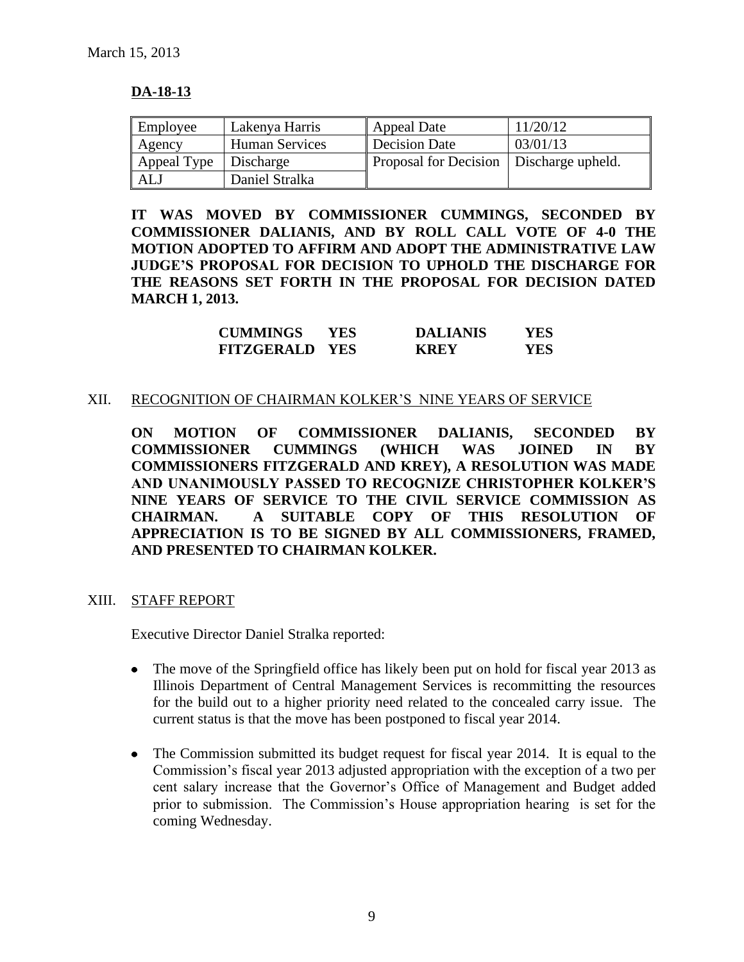# **DA-18-13**

| Employee                | Lakenya Harris | Appeal Date                               | 11/20/12 |
|-------------------------|----------------|-------------------------------------------|----------|
| Agency                  | Human Services | Decision Date                             | 03/01/13 |
| Appeal Type   Discharge |                | Proposal for Decision   Discharge upheld. |          |
| ALJ                     | Daniel Stralka |                                           |          |

**IT WAS MOVED BY COMMISSIONER CUMMINGS, SECONDED BY COMMISSIONER DALIANIS, AND BY ROLL CALL VOTE OF 4-0 THE MOTION ADOPTED TO AFFIRM AND ADOPT THE ADMINISTRATIVE LAW JUDGE'S PROPOSAL FOR DECISION TO UPHOLD THE DISCHARGE FOR THE REASONS SET FORTH IN THE PROPOSAL FOR DECISION DATED MARCH 1, 2013.**

| <b>CUMMINGS</b>       | YES. | <b>DALIANIS</b> | YES |
|-----------------------|------|-----------------|-----|
| <b>FITZGERALD YES</b> |      | <b>KREY</b>     | YES |

#### XII. RECOGNITION OF CHAIRMAN KOLKER'S NINE YEARS OF SERVICE

**ON MOTION OF COMMISSIONER DALIANIS, SECONDED BY COMMISSIONER CUMMINGS (WHICH WAS JOINED IN BY COMMISSIONERS FITZGERALD AND KREY), A RESOLUTION WAS MADE AND UNANIMOUSLY PASSED TO RECOGNIZE CHRISTOPHER KOLKER'S NINE YEARS OF SERVICE TO THE CIVIL SERVICE COMMISSION AS CHAIRMAN. A SUITABLE COPY OF THIS RESOLUTION OF APPRECIATION IS TO BE SIGNED BY ALL COMMISSIONERS, FRAMED, AND PRESENTED TO CHAIRMAN KOLKER.**

XIII. STAFF REPORT

Executive Director Daniel Stralka reported:

- The move of the Springfield office has likely been put on hold for fiscal year 2013 as Illinois Department of Central Management Services is recommitting the resources for the build out to a higher priority need related to the concealed carry issue. The current status is that the move has been postponed to fiscal year 2014.
- The Commission submitted its budget request for fiscal year 2014. It is equal to the  $\bullet$ Commission's fiscal year 2013 adjusted appropriation with the exception of a two per cent salary increase that the Governor's Office of Management and Budget added prior to submission. The Commission's House appropriation hearing is set for the coming Wednesday.